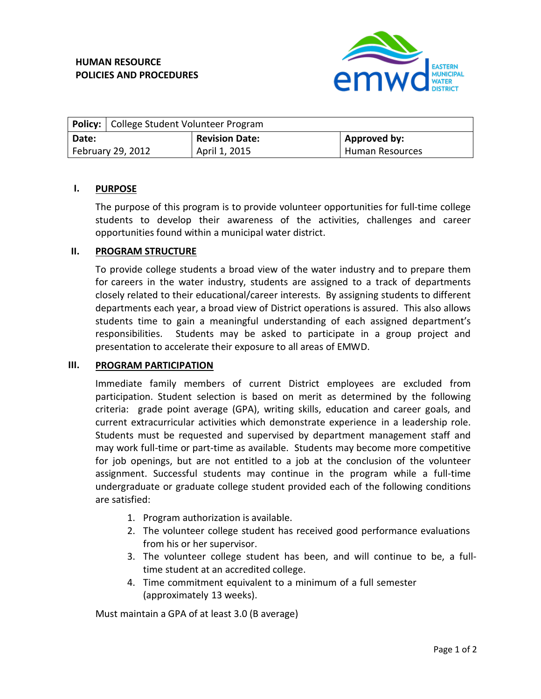

|                   | <b>Policy:</b>   College Student Volunteer Program |                       |                 |
|-------------------|----------------------------------------------------|-----------------------|-----------------|
| Date:             |                                                    | <b>Revision Date:</b> | Approved by:    |
| February 29, 2012 |                                                    | April 1, 2015         | Human Resources |

# **I. PURPOSE**

The purpose of this program is to provide volunteer opportunities for full-time college students to develop their awareness of the activities, challenges and career opportunities found within a municipal water district.

# **II. PROGRAM STRUCTURE**

To provide college students a broad view of the water industry and to prepare them for careers in the water industry, students are assigned to a track of departments closely related to their educational/career interests. By assigning students to different departments each year, a broad view of District operations is assured. This also allows students time to gain a meaningful understanding of each assigned department's responsibilities. Students may be asked to participate in a group project and presentation to accelerate their exposure to all areas of EMWD.

### **III. PROGRAM PARTICIPATION**

Immediate family members of current District employees are excluded from participation. Student selection is based on merit as determined by the following criteria: grade point average (GPA), writing skills, education and career goals, and current extracurricular activities which demonstrate experience in a leadership role. Students must be requested and supervised by department management staff and may work full-time or part-time as available. Students may become more competitive for job openings, but are not entitled to a job at the conclusion of the volunteer assignment. Successful students may continue in the program while a full-time undergraduate or graduate college student provided each of the following conditions are satisfied:

- 1. Program authorization is available.
- 2. The volunteer college student has received good performance evaluations from his or her supervisor.
- 3. The volunteer college student has been, and will continue to be, a fulltime student at an accredited college.
- 4. Time commitment equivalent to a minimum of a full semester (approximately 13 weeks).

Must maintain a GPA of at least 3.0 (B average)